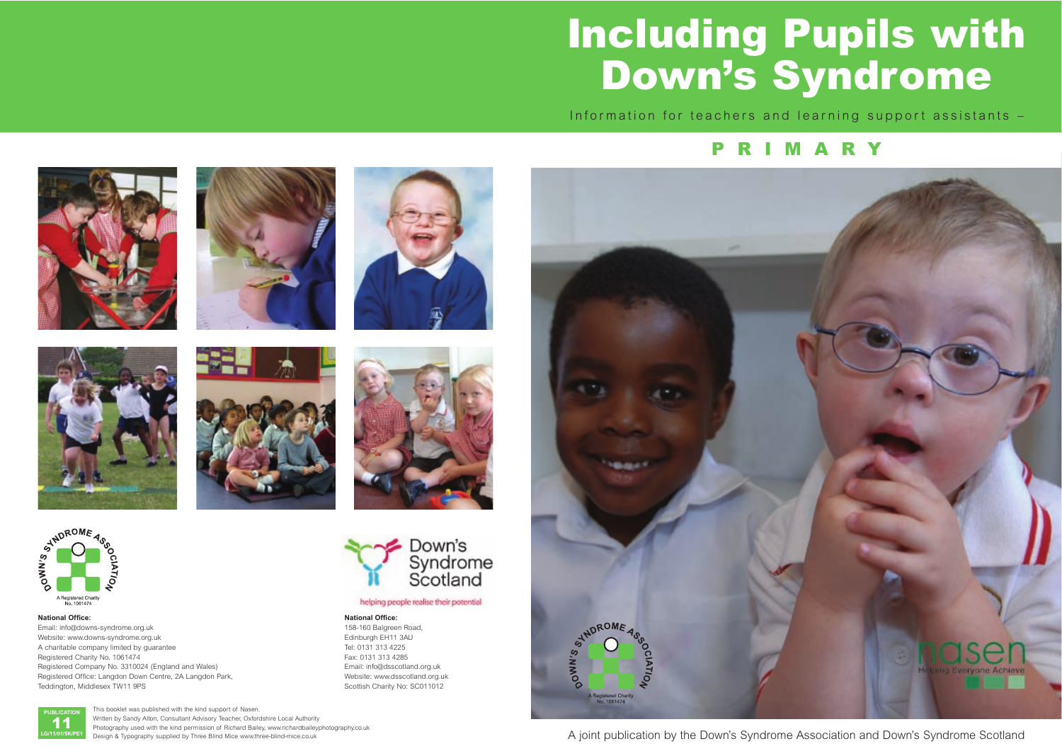# **Including Pupils with Down's Syndrome**

Information for teachers and learning support assistants –

#### **National Office:**

Email: info@downs-syndrome.org.uk Website: www.downs-syndrome.org.uk A charitable company limited by guarantee Registered Charity No. 1061474 Registered Company No. 3310024 (England and Wales) Registered Office: Langdon Down Centre, 2A Langdon Park, Teddington, Middlesex TW11 9PS

#### **National Office:**

158-160 Balgreen Road, Edinburgh EH11 3AU Tel: 0131 313 4225 Fax: 0131 313 4285 Email: info@dsscotland.org.uk Website: www.dsscotland.org.uk Scottish Charity No: SC011012









This booklet was published with the kind support of Nasen. Written by Sandy Alton, Consultant Advisory Teacher, Oxfordshire Local Authority Photography used with the kind permission of Richard Bailey, www.richardbaileyphotography.co.uk Design & Typography supplied by Three Blind Mice www.three-blind-mice.co.uk

# **PRIMARY**







helping people realise their potential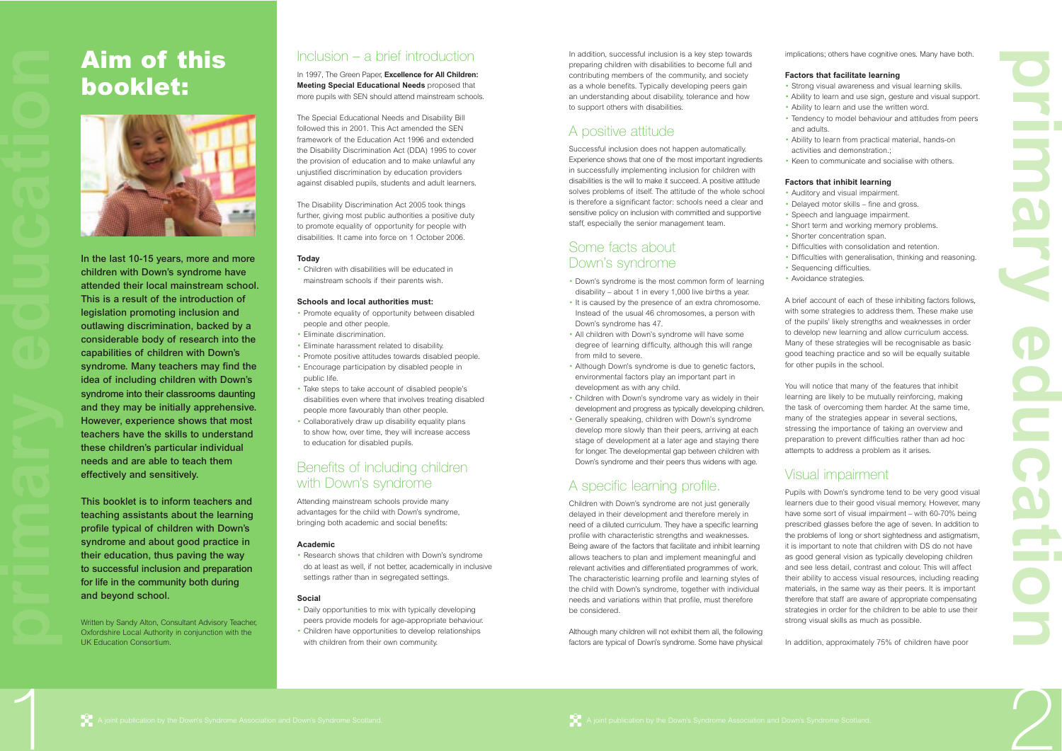

In addition, successful inclusion is a key step towards preparing children with disabilities to become full and contributing members of the community, and society as a whole benefits. Typically developing peers gain an understanding about disability, tolerance and how to support others with disabilities.

### A positive attitude

Successful inclusion does not happen automatically. Experience shows that one of the most important ingredients in successfully implementing inclusion for children with disabilities is the will to make it succeed. A positive attitude solves problems of itself. The attitude of the whole school is therefore a significant factor: schools need a clear and sensitive policy on inclusion with committed and supportive staff, especially the senior management team.

### Some facts about Down's syndrome

- Down's syndrome is the most common form of learning disability – about 1 in every 1,000 live births a year.
- It is caused by the presence of an extra chromosome. Instead of the usual 46 chromosomes, a person with Down's syndrome has 47.
- All children with Down's syndrome will have some degree of learning difficulty, although this will range from mild to severe.
- Although Down's syndrome is due to genetic factors, environmental factors play an important part in development as with any child.
- Children with Down's syndrome vary as widely in their development and progress as typically developing children.
- Generally speaking, children with Down's syndrome develop more slowly than their peers, arriving at each stage of development at a later age and staying there for longer. The developmental gap between children with Down's syndrome and their peers thus widens with age.

# A specific learning profile.

Children with Down's syndrome are not just generally delayed in their development and therefore merely in need of a diluted curriculum. They have a specific learning profile with characteristic strengths and weaknesses. Being aware of the factors that facilitate and inhibit learning allows teachers to plan and implement meaningful and relevant activities and differentiated programmes of work. The characteristic learning profile and learning styles of the child with Down's syndrome, together with individual needs and variations within that profile, must therefore be considered.

Although many children will not exhibit them all, the following factors are typical of Down's syndrome. Some have physical



implications; others have cognitive ones. Many have both.

#### **Factors that facilitate learning**

- Strong visual awareness and visual learning skills. • Ability to learn and use sign, gesture and visual support. • Ability to learn and use the written word.
- Tendency to model behaviour and attitudes from peers and adults.
- Ability to learn from practical material, hands-on activities and demonstration.;
- Keen to communicate and socialise with others.

#### **Factors that inhibit learning**

- Auditory and visual impairment.
- Delayed motor skills fine and gross.
- Speech and language impairment.
- Short term and working memory problems. • Shorter concentration span.
- Difficulties with consolidation and retention.
- Difficulties with generalisation, thinking and reasoning.
- Sequencing difficulties.
- Avoidance strategies.

A brief account of each of these inhibiting factors follows, with some strategies to address them. These make use of the pupils' likely strengths and weaknesses in order to develop new learning and allow curriculum access. Many of these strategies will be recognisable as basic good teaching practice and so will be equally suitable for other pupils in the school.

You will notice that many of the features that inhibit learning are likely to be mutually reinforcing, making the task of overcoming them harder. At the same time, many of the strategies appear in several sections, stressing the importance of taking an overview and preparation to prevent difficulties rather than ad hoc attempts to address a problem as it arises.

### Visual impairment

• Children have opportunities to this wifit typically developing<br>
Written by Sandy Alton, Consultant Advisory Teacher,<br>
Oxfordshire Local Authority in conjunction with the<br>
UK Education Consortium.<br>
UK Education Consortium Written by Sandy Alton, Consultant Advisory Teacher, Oxfordshire Local Authority in conjunction with the UK Education Consortium.

Pupils with Down's syndrome tend to be very good visual learners due to their good visual memory. However, many have some sort of visual impairment – with 60-70% being prescribed glasses before the age of seven. In addition to the problems of long or short sightedness and astigmatism, it is important to note that children with DS do not have as good general vision as typically developing children and see less detail, contrast and colour. This will affect their ability to access visual resources, including reading materials, in the same way as their peers. It is important therefore that staff are aware of appropriate compensating strategies in order for the children to be able to use their strong visual skills as much as possible.

In addition, approximately 75% of children have poor

**p r i a ry e d u c a t ion**

1

# **Aim of this booklet:**



**In the last 10-15 years, more and more children with Down's syndrome have attended their local mainstream school. This is a result of the introduction of legislation promoting inclusion and outlawing discrimination, backed by a considerable body of research into the capabilities of children with Down's syndrome. Many teachers may find the idea of including children with Down's syndrome into their classrooms daunting and they may be initially apprehensive. However, experience shows that most teachers have the skills to understand these children's particular individual needs and are able to teach them effectively and sensitively.**

**This booklet is to inform teachers and teaching assistants about the learning profile typical of children with Down's syndrome and about good practice in their education, thus paving the way to successful inclusion and preparation for life in the community both during and beyond school.**

### Inclusion – a brief introduction

In 1997, The Green Paper, **Excellence for All Children: Meeting Special Educational Needs** proposed that more pupils with SEN should attend mainstream schools.

The Special Educational Needs and Disability Bill followed this in 2001. This Act amended the SEN framework of the Education Act 1996 and extended the Disability Discrimination Act (DDA) 1995 to cover the provision of education and to make unlawful any unjustified discrimination by education providers against disabled pupils, students and adult learners.

The Disability Discrimination Act 2005 took things further, giving most public authorities a positive duty to promote equality of opportunity for people with disabilities. It came into force on 1 October 2006.

#### **Today**

• Children with disabilities will be educated in mainstream schools if their parents wish.

#### **Schools and local authorities must:**

- Promote equality of opportunity between disabled people and other people.
- Eliminate discrimination.
- Eliminate harassment related to disability.
- Promote positive attitudes towards disabled people.
- Encourage participation by disabled people in public life.
- Take steps to take account of disabled people's disabilities even where that involves treating disabled people more favourably than other people.
- Collaboratively draw up disability equality plans to show how, over time, they will increase access to education for disabled pupils.

### Benefits of including children with Down's syndrome

Attending mainstream schools provide many advantages for the child with Down's syndrome, bringing both academic and social benefits:

#### **Academic**

• Research shows that children with Down's syndrome do at least as well, if not better, academically in inclusive settings rather than in segregated settings.

#### **Social**

- Daily opportunities to mix with typically developing peers provide models for age-appropriate behaviour.
- with children from their own community.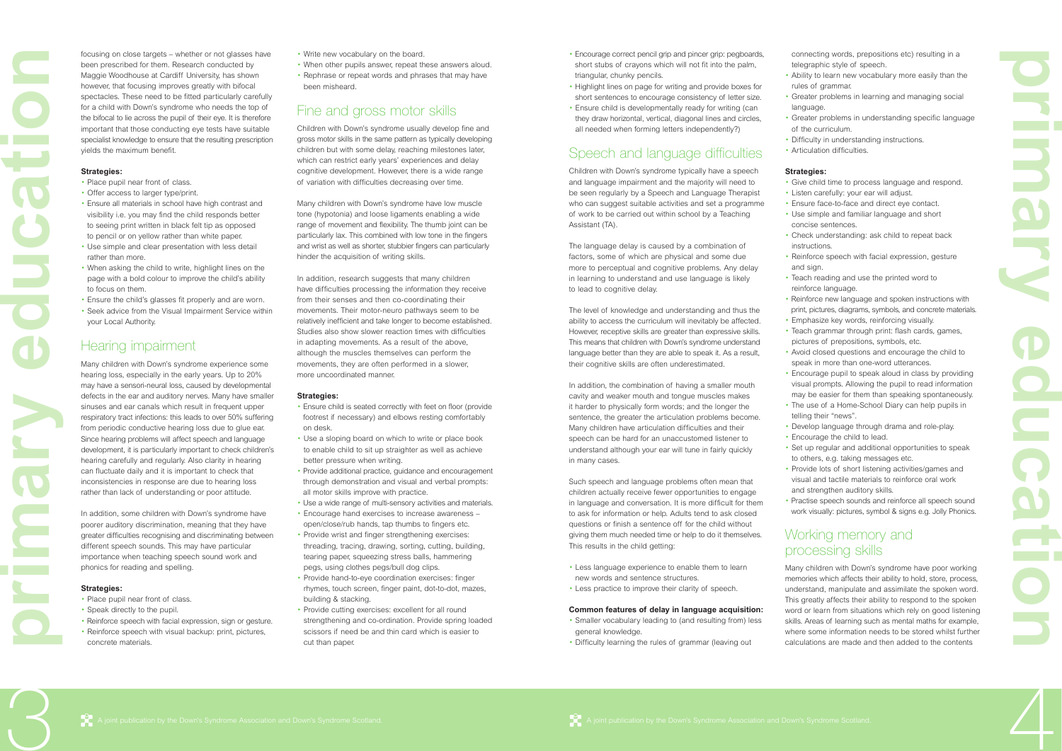- Encourage correct pencil grip and pincer grip: pegboards, short stubs of crayons which will not fit into the palm, triangular, chunky pencils.
- Highlight lines on page for writing and provide boxes for short sentences to encourage consistency of letter size.
- Ensure child is developmentally ready for writing (can they draw horizontal, vertical, diagonal lines and circles, all needed when forming letters independently?)

### Speech and language difficulties

Children with Down's syndrome typically have a speech and language impairment and the majority will need to be seen regularly by a Speech and Language Therapist who can suggest suitable activities and set a programme of work to be carried out within school by a Teaching Assistant (TA).

The language delay is caused by a combination of factors, some of which are physical and some due more to perceptual and cognitive problems. Any delay in learning to understand and use language is likely to lead to cognitive delay.

The level of knowledge and understanding and thus the ability to access the curriculum will inevitably be affected. However, receptive skills are greater than expressive skills. This means that children with Down's syndrome understand language better than they are able to speak it. As a result, their cognitive skills are often underestimated.

In addition, the combination of having a smaller mouth cavity and weaker mouth and tongue muscles makes it harder to physically form words; and the longer the sentence, the greater the articulation problems become. Many children have articulation difficulties and their speech can be hard for an unaccustomed listener to understand although your ear will tune in fairly quickly in many cases.

Such speech and language problems often mean that children actually receive fewer opportunities to engage in language and conversation. It is more difficult for them to ask for information or help. Adults tend to ask closed questions or finish a sentence off for the child without giving them much needed time or help to do it themselves. This results in the child getting:

- Less language experience to enable them to learn new words and sentence structures.
- Less practice to improve their clarity of speech.

#### **Common features of delay in language acquisition:**

- Smaller vocabulary leading to (and resulting from) less general knowledge.
- Difficulty learning the rules of grammar (leaving out

- connecting words, prepositions etc) resulting in a telegraphic style of speech.
- Ability to learn new vocabulary more easily than the rules of grammar.
- Greater problems in learning and managing social language.
- Greater problems in understanding specific language of the curriculum.
- Difficulty in understanding instructions.
- Articulation difficulties.

### **Strategies:**

- Give child time to process language and respond. • Listen carefully: your ear will adjust.
- Ensure face-to-face and direct eye contact.
- Use simple and familiar language and short concise sentences.
- Check understanding: ask child to repeat back instructions.
- Reinforce speech with facial expression, gesture and sign.
- Teach reading and use the printed word to reinforce language.
- Reinforce new language and spoken instructions with print, pictures, diagrams, symbols, and concrete materials. • Emphasize key words, reinforcing visually.
- Teach grammar through print: flash cards, games, pictures of prepositions, symbols, etc.
- Avoid closed questions and encourage the child to speak in more than one-word utterances.
- Encourage pupil to speak aloud in class by providing visual prompts. Allowing the pupil to read information may be easier for them than speaking spontaneously. • The use of a Home-School Diary can help pupils in telling their "news".
- Develop language through drama and role-play. • Encourage the child to lead.
- Set up regular and additional opportunities to speak to others, e.g. taking messages etc.
- Provide lots of short listening activities/games and visual and tactile materials to reinforce oral work and strengthen auditory skills.
- Practise speech sounds and reinforce all speech sound work visually: pictures, symbol & signs e.g. Jolly Phonics.

### Working memory and processing skills

In addition, research suggests that many children have difficulties processing the information they receive from their senses and then co-coordinating their movements. Their motor-neuro pathways seem to be relatively inefficient and take longer to become established. Studies also show slower reaction times with difficulties in adapting movements. As a result of the above, although the muscles themselves can perform the movements, they are often performed in a slower, more uncoordinated manner.

> Many children with Down's syndrome have poor working memories which affects their ability to hold, store, process, understand, manipulate and assimilate the spoken word. This greatly affects their ability to respond to the spoken word or learn from situations which rely on good listening skills. Areas of learning such as mental maths for example, where some information needs to be stored whilst further calculations are made and then added to the contents

**p r i a ry e d u c a t ion**

3

focusing on close targets – whether or not glasses have been prescribed for them. Research conducted by Maggie Woodhouse at Cardiff University, has shown however, that focusing improves greatly with bifocal spectacles. These need to be fitted particularly carefully for a child with Down's syndrome who needs the top of the bifocal to lie across the pupil of their eye. It is therefore important that those conducting eye tests have suitable specialist knowledge to ensure that the resulting prescription yields the maximum benefit.

#### **Strategies:**

- Place pupil near front of class.
- Offer access to larger type/print.
- Ensure all materials in school have high contrast and visibility i.e. you may find the child responds better to seeing print written in black felt tip as opposed to pencil or on yellow rather than white paper.
- Use simple and clear presentation with less detail rather than more.
- When asking the child to write, highlight lines on the page with a bold colour to improve the child's ability to focus on them.
- Ensure the child's glasses fit properly and are worn.
- Seek advice from the Visual Impairment Service within your Local Authority.

### Hearing impairment

Many children with Down's syndrome experience some hearing loss, especially in the early years. Up to 20% may have a sensori-neural loss, caused by developmental defects in the ear and auditory nerves. Many have smaller sinuses and ear canals which result in frequent upper respiratory tract infections: this leads to over 50% suffering from periodic conductive hearing loss due to glue ear. Since hearing problems will affect speech and language development, it is particularly important to check children's hearing carefully and regularly. Also clarity in hearing can fluctuate daily and it is important to check that inconsistencies in response are due to hearing loss rather than lack of understanding or poor attitude.

In addition, some children with Down's syndrome have poorer auditory discrimination, meaning that they have greater difficulties recognising and discriminating between different speech sounds. This may have particular importance when teaching speech sound work and phonics for reading and spelling.

#### **Strategies:**

- Place pupil near front of class.
- Speak directly to the pupil.
- Reinforce speech with facial expression, sign or gesture. • Reinforce speech with visual backup: print, pictures, concrete materials.
- Write new vocabulary on the board.
- When other pupils answer, repeat these answers aloud.
- Rephrase or repeat words and phrases that may have been misheard.

### Fine and gross motor skills

Children with Down's syndrome usually develop fine and gross motor skills in the same pattern as typically developing children but with some delay, reaching milestones later, which can restrict early years' experiences and delay cognitive development. However, there is a wide range of variation with difficulties decreasing over time.

Many children with Down's syndrome have low muscle tone (hypotonia) and loose ligaments enabling a wide range of movement and flexibility. The thumb joint can be particularly lax. This combined with low tone in the fingers and wrist as well as shorter, stubbier fingers can particularly hinder the acquisition of writing skills.

#### **Strategies:**

- Ensure child is seated correctly with feet on floor (provide footrest if necessary) and elbows resting comfortably on desk.
- Use a sloping board on which to write or place book to enable child to sit up straighter as well as achieve better pressure when writing.
- Provide additional practice, guidance and encouragement through demonstration and visual and verbal prompts: all motor skills improve with practice.
- Use a wide range of multi-sensory activities and materials.
- Encourage hand exercises to increase awareness open/close/rub hands, tap thumbs to fingers etc.
- Provide wrist and finger strengthening exercises: threading, tracing, drawing, sorting, cutting, building, tearing paper, squeezing stress balls, hammering pegs, using clothes pegs/bull dog clips.
- Provide hand-to-eye coordination exercises: finger rhymes, touch screen, finger paint, dot-to-dot, mazes, building & stacking.
- Provide cutting exercises: excellent for all round strengthening and co-ordination. Provide spring loaded Speak directly to the pupil.<br>
Reinforce speech with facial expression, sign or gesture.<br>
Reinforce speech with visual backup: print, pictures,<br>
oncrete materials.<br>
Cut than paper.<br>
Cut than paper. cut than paper.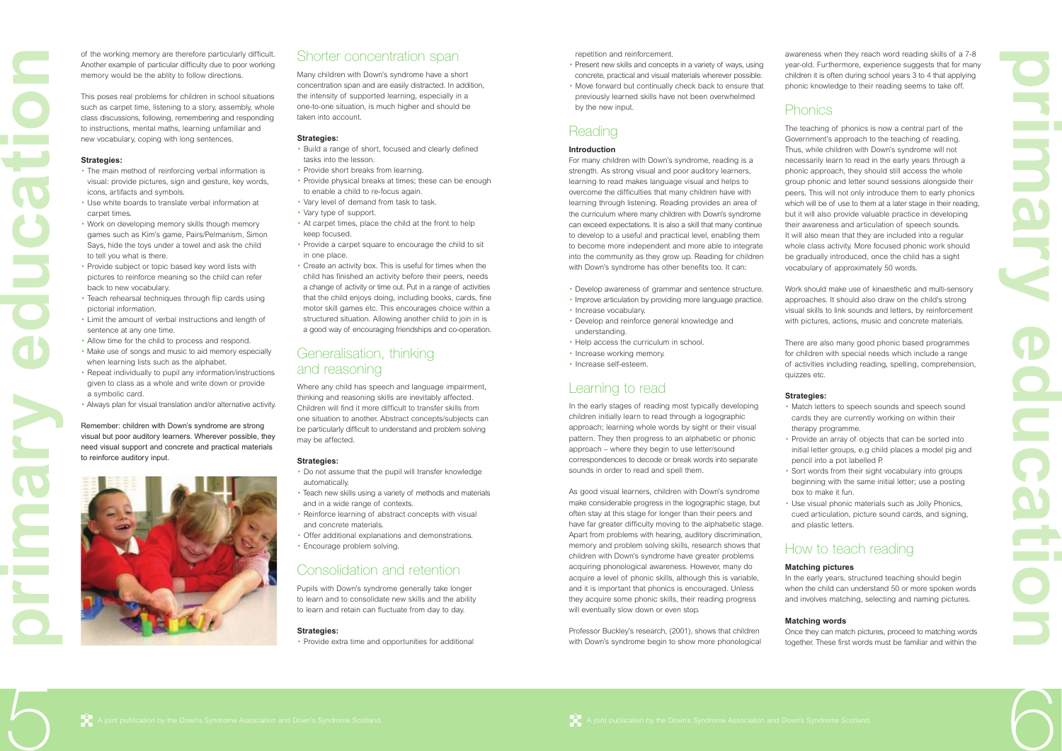

repetition and reinforcement.

- Present new skills and concepts in a variety of ways, using concrete, practical and visual materials wherever possible.
- Move forward but continually check back to ensure that previously learned skills have not been overwhelmed by the new input.

### Reading

#### **Introduction**

For many children with Down's syndrome, reading is a strength. As strong visual and poor auditory learners, learning to read makes language visual and helps to overcome the difficulties that many children have with learning through listening. Reading provides an area of the curriculum where many children with Down's syndrome can exceed expectations. It is also a skill that many continue to develop to a useful and practical level, enabling them to become more independent and more able to integrate into the community as they grow up. Reading for children with Down's syndrome has other benefits too. It can:

- Develop awareness of grammar and sentence structure.
- Improve articulation by providing more language practice.
- Increase vocabulary.
- Develop and reinforce general knowledge and understanding.
- Help access the curriculum in school.
- Increase working memory.
- Increase self-esteem.

### Learning to read

In the early stages of reading most typically developing children initially learn to read through a logographic approach; learning whole words by sight or their visual pattern. They then progress to an alphabetic or phonic approach – where they begin to use letter/sound correspondences to decode or break words into separate sounds in order to read and spell them.

As good visual learners, children with Down's syndrome make considerable progress in the logographic stage, but often stay at this stage for longer than their peers and have far greater difficulty moving to the alphabetic stage. Apart from problems with hearing, auditory discrimination, memory and problem solving skills, research shows that children with Down's syndrome have greater problems acquiring phonological awareness. However, many do acquire a level of phonic skills, although this is variable, and it is important that phonics is encouraged. Unless they acquire some phonic skills, their reading progress will eventually slow down or even stop.

- Match letters to speech sounds and speech sound cards they are currently working on within their therapy programme. • Provide an array of objects that can be sorted into initial letter groups, e.g child places a model pig and pencil into a pot labelled P.
- 
- Sort words from their sight vocabulary into groups beginning with the same initial letter; use a posting box to make it fun. • Use visual phonic materials such as Jolly Phonics,
- cued articulation, picture sound cards, and signing, and plastic letters.

Professor Buckley's research, (2001), shows that children with Down's syndrome begin to show more phonological

awareness when they reach word reading skills of a 7-8 year-old. Furthermore, experience suggests that for many children it is often during school years 3 to 4 that applying phonic knowledge to their reading seems to take off.

### Phonics

The teaching of phonics is now a central part of the Government's approach to the teaching of reading. Thus, while children with Down's syndrome will not necessarily learn to read in the early years through a phonic approach, they should still access the whole group phonic and letter sound sessions alongside their peers. This will not only introduce them to early phonics which will be of use to them at a later stage in their reading. but it will also provide valuable practice in developing their awareness and articulation of speech sounds. It will also mean that they are included into a regular whole class activity. More focused phonic work should be gradually introduced, once the child has a sight vocabulary of approximately 50 words.

Work should make use of kinaesthetic and multi-sensory approaches. It should also draw on the child's strong visual skills to link sounds and letters, by reinforcement with pictures, actions, music and concrete materials.

There are also many good phonic based programmes for children with special needs which include a range of activities including reading, spelling, comprehension, quizzes etc.

### **Strategies:**

# How to teach reading

### **Matching pictures**

In the early years, structured teaching should begin when the child can understand 50 or more spoken words and involves matching, selecting and naming pictures.

**Matching words** Once they can match pictures, proceed to matching words together. These first words must be familiar and within the

**p r i a ry e d u c a t ion**

5

of the working memory are therefore particularly difficult. Another example of particular difficulty due to poor working memory would be the ablity to follow directions.

This poses real problems for children in school situations such as carpet time, listening to a story, assembly, whole class discussions, following, remembering and responding to instructions, mental maths, learning unfamiliar and new vocabulary, coping with long sentences.

#### **Strategies:**

- The main method of reinforcing verbal information is visual: provide pictures, sign and gesture, key words, icons, artifacts and symbols.
- Use white boards to translate verbal information at carpet times.
- Work on developing memory skills though memory games such as Kim's game, Pairs/Pelmanism, Simon Says, hide the toys under a towel and ask the child to tell you what is there.
- Provide subject or topic based key word lists with pictures to reinforce meaning so the child can refer back to new vocabulary.
- Teach rehearsal techniques through flip cards using pictorial information.
- Limit the amount of verbal instructions and length of sentence at any one time.
- Allow time for the child to process and respond.
- Make use of songs and music to aid memory especially when learning lists such as the alphabet.
- Repeat individually to pupil any information/instructions given to class as a whole and write down or provide a symbolic card.
- Always plan for visual translation and/or alternative activity.

Remember: children with Down's syndrome are strong visual but poor auditory learners. Wherever possible, they need visual support and concrete and practical materials to reinforce auditory input.

### Shorter concentration span

Many children with Down's syndrome have a short concentration span and are easily distracted. In addition, the intensity of supported learning, especially in a one-to-one situation, is much higher and should be taken into account.

#### **Strategies:**

- Build a range of short, focused and clearly defined tasks into the lesson.
- Provide short breaks from learning.
- Provide physical breaks at times; these can be enough to enable a child to re-focus again.
- Vary level of demand from task to task.
- Vary type of support.
- At carpet times, place the child at the front to help keep focused.
- Provide a carpet square to encourage the child to sit in one place.
- Create an activity box. This is useful for times when the child has finished an activity before their peers, needs a change of activity or time out. Put in a range of activities that the child enjoys doing, including books, cards, fine motor skill games etc. This encourages choice within a structured situation. Allowing another child to join in is a good way of encouraging friendships and co-operation.

### Generalisation, thinking and reasoning

Where any child has speech and language impairment, thinking and reasoning skills are inevitably affected. Children will find it more difficult to transfer skills from one situation to another. Abstract concepts/subjects can be particularly difficult to understand and problem solving may be affected.

#### **Strategies:**

- Do not assume that the pupil will transfer knowledge automatically.
- Teach new skills using a variety of methods and materials and in a wide range of contexts.
- Reinforce learning of abstract concepts with visual and concrete materials.
- Offer additional explanations and demonstrations. • Encourage problem solving.

### Consolidation and retention

Pupils with Down's syndrome generally take longer to learn and to consolidate new skills and the ability to learn and retain can fluctuate from day to day.



• Provide extra time and opportunities for additional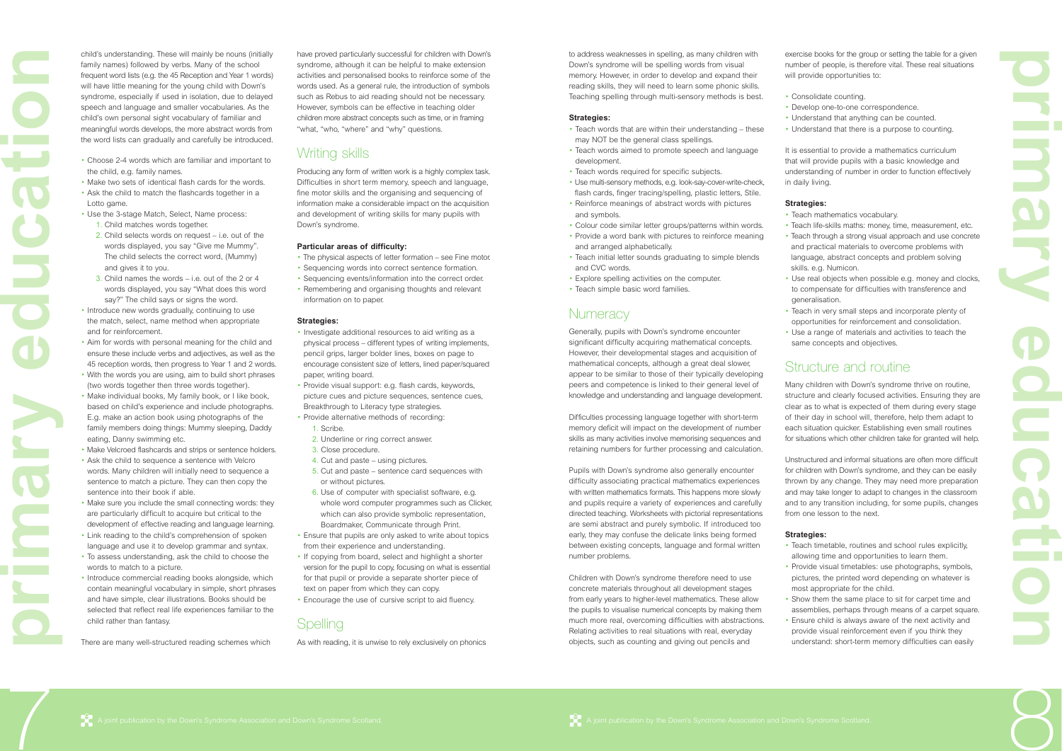

to address weaknesses in spelling, as many children with Down's syndrome will be spelling words from visual memory. However, in order to develop and expand their reading skills, they will need to learn some phonic skills. Teaching spelling through multi-sensory methods is best.

#### **Strategies:**

- Teach words that are within their understanding these may NOT be the general class spellings.
- Teach words aimed to promote speech and language development.
- Teach words required for specific subjects.
- Use multi-sensory methods, e.g. look-say-cover-write-check, flash cards, finger tracing/spelling, plastic letters, Stile.
- Reinforce meanings of abstract words with pictures and symbols.
- Colour code similar letter groups/patterns within words.
- Provide a word bank with pictures to reinforce meaning
- and arranged alphabetically.
- Teach initial letter sounds graduating to simple blends and CVC words.
- Explore spelling activities on the computer.
- Teach simple basic word families.

### **Numeracy**

Generally, pupils with Down's syndrome encounter significant difficulty acquiring mathematical concepts. However, their developmental stages and acquisition of mathematical concepts, although a great deal slower, appear to be similar to those of their typically developing peers and competence is linked to their general level of knowledge and understanding and language development.

exercise books for the group or setting the table for a given number of people, is therefore vital. These real situations will provide opportunities to:

Difficulties processing language together with short-term memory deficit will impact on the development of number skills as many activities involve memorising sequences and retaining numbers for further processing and calculation.

Pupils with Down's syndrome also generally encounter difficulty associating practical mathematics experiences with written mathematics formats. This happens more slowly and pupils require a variety of experiences and carefully directed teaching. Worksheets with pictorial representations are semi abstract and purely symbolic. If introduced too early, they may confuse the delicate links being formed between existing concepts, language and formal written number problems.

Children with Down's syndrome therefore need to use concrete materials throughout all development stages from early years to higher-level mathematics. These allow the pupils to visualise numerical concepts by making them much more real, overcoming difficulties with abstractions. Relating activities to real situations with real, everyday objects, such as counting and giving out pencils and

- 
- 

• Consolidate counting.

- Choose 2-4 words which are familiar and important to the child, e.g. family names.
- Make two sets of identical flash cards for the words.
- Ask the child to match the flashcards together in a Lotto game.
- Use the 3-stage Match, Select, Name process:
	- 1. Child matches words together.
	- 2. Child selects words on request i.e. out of the words displayed, you say "Give me Mummy". The child selects the correct word, (Mummy) and gives it to you.
	- 3. Child names the words i.e. out of the 2 or 4 words displayed, you say "What does this word say?" The child says or signs the word.
- Introduce new words gradually, continuing to use the match, select, name method when appropriate and for reinforcement.
- Aim for words with personal meaning for the child and ensure these include verbs and adjectives, as well as the 45 reception words, then progress to Year 1 and 2 words.
- With the words you are using, aim to build short phrases (two words together then three words together).
- Make individual books, My family book, or I like book, based on child's experience and include photographs. E.g. make an action book using photographs of the family members doing things: Mummy sleeping, Daddy eating, Danny swimming etc.
- Make Velcroed flashcards and strips or sentence holders.
- Ask the child to sequence a sentence with Velcro words. Many children will initially need to sequence a sentence to match a picture. They can then copy the sentence into their book if able.
- Make sure you include the small connecting words: they are particularly difficult to acquire but critical to the development of effective reading and language learning.
- Link reading to the child's comprehension of spoken language and use it to develop grammar and syntax.
- To assess understanding, ask the child to choose the words to match to a picture.
- Introduce commercial reading books alongside, which contain meaningful vocabulary in simple, short phrases and have simple, clear illustrations. Books should be selected that reflect real life experiences familiar to the child rather than fantasy. Selected that renect real life experiences ramiliar to the<br>
child rather than fantasy.<br>
There are many well-structured reading schemes which As with readin

- Develop one-to-one correspondence.
- Understand that anything can be counted.
- Understand that there is a purpose to counting.

It is essential to provide a mathematics curriculum that will provide pupils with a basic knowledge and understanding of number in order to function effectively in daily living.

#### **Strategies:**

• Teach mathematics vocabulary.

• Teach life-skills maths: money, time, measurement, etc. • Teach through a strong visual approach and use concrete and practical materials to overcome problems with language, abstract concepts and problem solving skills. e.g. Numicon.

• Use real objects when possible e.g. money and clocks, to compensate for difficulties with transference and generalisation.

• Teach in very small steps and incorporate plenty of opportunities for reinforcement and consolidation. • Use a range of materials and activities to teach the same concepts and objectives.

### Structure and routine

Many children with Down's syndrome thrive on routine, structure and clearly focused activities. Ensuring they are clear as to what is expected of them during every stage of their day in school will, therefore, help them adapt to each situation quicker. Establishing even small routines for situations which other children take for granted will help.

Unstructured and informal situations are often more difficult for children with Down's syndrome, and they can be easily thrown by any change. They may need more preparation and may take longer to adapt to changes in the classroom and to any transition including, for some pupils, changes from one lesson to the next.

#### **Strategies:**

• Teach timetable, routines and school rules explicitly, allowing time and opportunities to learn them.

• Provide visual timetables: use photographs, symbols, pictures, the printed word depending on whatever is most appropriate for the child.

• Show them the same place to sit for carpet time and assemblies, perhaps through means of a carpet square. • Ensure child is always aware of the next activity and provide visual reinforcement even if you think they understand: short-term memory difficulties can easily

**p r i a ry e d u c a t ion**

7

child's understanding. These will mainly be nouns (initially family names) followed by verbs. Many of the school frequent word lists (e.g. the 45 Reception and Year 1 words) will have little meaning for the young child with Down's syndrome, especially if used in isolation, due to delayed speech and language and smaller vocabularies. As the child's own personal sight vocabulary of familiar and meaningful words develops, the more abstract words from the word lists can gradually and carefully be introduced.

have proved particularly successful for children with Down's syndrome, although it can be helpful to make extension activities and personalised books to reinforce some of the words used. As a general rule, the introduction of symbols such as Rebus to aid reading should not be necessary. However, symbols can be effective in teaching older children more abstract concepts such as time, or in framing "what, "who, "where" and "why" questions.

### Writing skills

Producing any form of written work is a highly complex task. Difficulties in short term memory, speech and language, fine motor skills and the organising and sequencing of information make a considerable impact on the acquisition and development of writing skills for many pupils with Down's syndrome.

#### **Particular areas of difficulty:**

- The physical aspects of letter formation see Fine motor.
- Sequencing words into correct sentence formation.
- Sequencing events/information into the correct order.
- Remembering and organising thoughts and relevant information on to paper.

#### **Strategies:**

- Investigate additional resources to aid writing as a physical process – different types of writing implements, pencil grips, larger bolder lines, boxes on page to encourage consistent size of letters, lined paper/squared paper, writing board.
- Provide visual support: e.g. flash cards, keywords, picture cues and picture sequences, sentence cues, Breakthrough to Literacy type strategies.
- Provide alternative methods of recording:
	- 1. Scribe.
	- 2. Underline or ring correct answer.
	- 3. Close procedure.
	- 4. Cut and paste using pictures.
	- 5. Cut and paste sentence card sequences with or without pictures.
	- 6. Use of computer with specialist software, e.g. whole word computer programmes such as Clicker, which can also provide symbolic representation, Boardmaker, Communicate through Print.
- Ensure that pupils are only asked to write about topics from their experience and understanding.
- If copying from board, select and highlight a shorter version for the pupil to copy, focusing on what is essential for that pupil or provide a separate shorter piece of text on paper from which they can copy.
- Encourage the use of cursive script to aid fluency.

As with reading, it is unwise to rely exclusively on phonics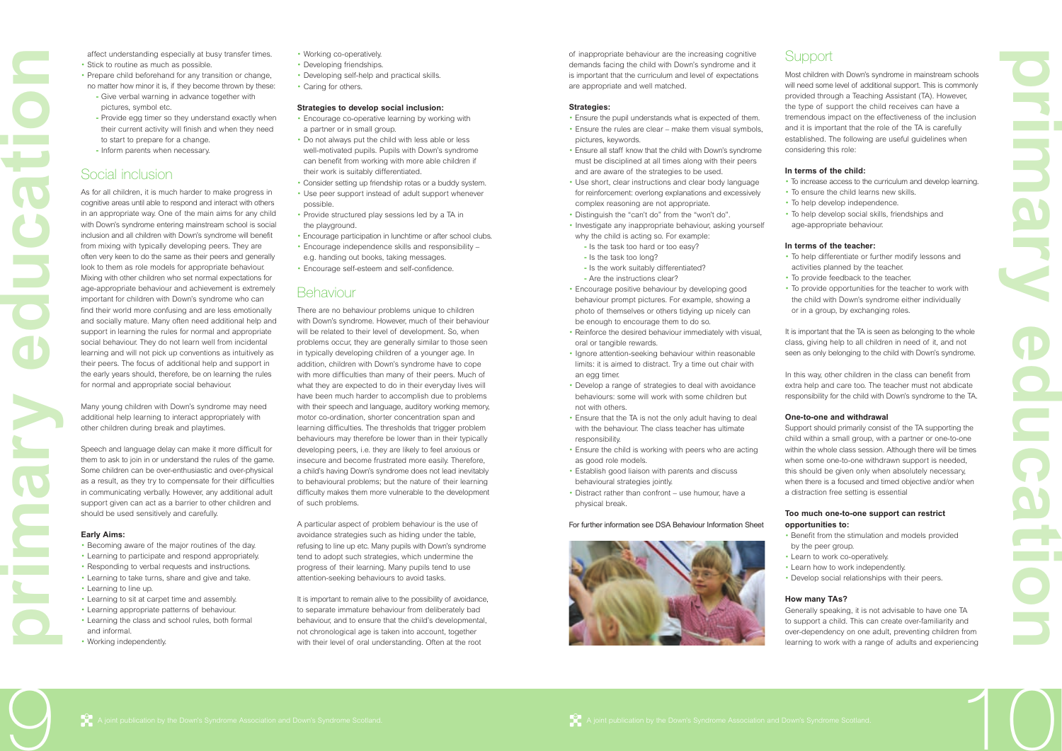of inappropriate behaviour are the increasing cognitive demands facing the child with Down's syndrome and it is important that the curriculum and level of expectations are appropriate and well matched.

#### **Strategies:**

- Ensure the pupil understands what is expected of them.
- Ensure the rules are clear make them visual symbols, pictures, keywords.
- Ensure all staff know that the child with Down's syndrome must be disciplined at all times along with their peers and are aware of the strategies to be used.
- Use short, clear instructions and clear body language for reinforcement: overlong explanations and excessively complex reasoning are not appropriate.
- Distinguish the "can't do" from the "won't do".
- Investigate any inappropriate behaviour, asking yourself why the child is acting so. For example:
	- **-** Is the task too hard or too easy?
	- **-** Is the task too long?
	- **-** Is the work suitably differentiated?
	- **-** Are the instructions clear?
- Encourage positive behaviour by developing good behaviour prompt pictures. For example, showing a photo of themselves or others tidying up nicely can be enough to encourage them to do so.
- Reinforce the desired behaviour immediately with visual, oral or tangible rewards.
- Ignore attention-seeking behaviour within reasonable limits: it is aimed to distract. Try a time out chair with an egg timer.
- Develop a range of strategies to deal with avoidance behaviours: some will work with some children but not with others.
- Ensure that the TA is not the only adult having to deal with the behaviour. The class teacher has ultimate responsibility.
- Ensure the child is working with peers who are acting as good role models.
- Establish good liaison with parents and discuss behavioural strategies jointly.
- Distract rather than confront use humour, have a physical break.

It is important that the TA is seen as belonging to the whole class, giving help to all children in need of it, and not seen as only belonging to the child with Down's syndrome.

#### For further information see DSA Behaviour Information Sheet





Most children with Down's syndrome in mainstream schools will need some level of additional support. This is commonly provided through a Teaching Assistant (TA). However, the type of support the child receives can have a tremendous impact on the effectiveness of the inclusion and it is important that the role of the TA is carefully established. The following are useful guidelines when considering this role:

### **In terms of the child:**

- To increase access to the curriculum and develop learning. • To ensure the child learns new skills.
- 
- 

### **Support**

- To help develop independence.
- To help develop social skills, friendships and
- age-appropriate behaviour.

### **In terms of the teacher:**

- To help differentiate or further modify lessons and activities planned by the teacher.
- To provide feedback to the teacher.
- To provide opportunities for the teacher to work with the child with Down's syndrome either individually or in a group, by exchanging roles.

In this way, other children in the class can benefit from extra help and care too. The teacher must not abdicate responsibility for the child with Down's syndrome to the TA.

#### **One-to-one and withdrawal**

Support should primarily consist of the TA supporting the child within a small group, with a partner or one-to-one within the whole class session. Although there will be times when some one-to-one withdrawn support is needed, this should be given only when absolutely necessary, when there is a focused and timed objective and/or when a distraction free setting is essential

#### **Too much one-to-one support can restrict opportunities to:**

- Benefit from the stimulation and models provided by the peer group.
- Learn to work co-operatively.
- Learn how to work independently.
- Develop social relationships with their peers.

### **How many TAs?**

Generally speaking, it is not advisable to have one TA to support a child. This can create over-familiarity and over-dependency on one adult, preventing children from learning to work with a range of adults and experiencing

**p r i a ry e d u c a t ion**

9

affect understanding especially at busy transfer times.

There are no behaviour problems unique to children with Down's syndrome. However, much of their behaviour will be related to their level of development. So, when problems occur, they are generally similar to those seen in typically developing children of a younger age. In addition, children with Down's syndrome have to cope with more difficulties than many of their peers. Much of what they are expected to do in their everyday lives will have been much harder to accomplish due to problems with their speech and language, auditory working memory, motor co-ordination, shorter concentration span and learning difficulties. The thresholds that trigger problem behaviours may therefore be lower than in their typically developing peers, i.e. they are likely to feel anxious or insecure and become frustrated more easily. Therefore, a child's having Down's syndrome does not lead inevitably to behavioural problems; but the nature of their learning difficulty makes them more vulnerable to the development of such problems.

- Stick to routine as much as possible.
- Prepare child beforehand for any transition or change, no matter how minor it is, if they become thrown by these:
	- **-** Give verbal warning in advance together with pictures, symbol etc.
	- **-** Provide egg timer so they understand exactly when their current activity will finish and when they need to start to prepare for a change.
	- **-** Inform parents when necessary.

### Social inclusion

As for all children, it is much harder to make progress in cognitive areas until able to respond and interact with others in an appropriate way. One of the main aims for any child with Down's syndrome entering mainstream school is social inclusion and all children with Down's syndrome will benefit from mixing with typically developing peers. They are often very keen to do the same as their peers and generally look to them as role models for appropriate behaviour. Mixing with other children who set normal expectations for age-appropriate behaviour and achievement is extremely important for children with Down's syndrome who can find their world more confusing and are less emotionally and socially mature. Many often need additional help and support in learning the rules for normal and appropriate social behaviour. They do not learn well from incidental learning and will not pick up conventions as intuitively as their peers. The focus of additional help and support in the early years should, therefore, be on learning the rules for normal and appropriate social behaviour.

Many young children with Down's syndrome may need additional help learning to interact appropriately with other children during break and playtimes.

Speech and language delay can make it more difficult for them to ask to join in or understand the rules of the game. Some children can be over-enthusiastic and over-physical as a result, as they try to compensate for their difficulties in communicating verbally. However, any additional adult support given can act as a barrier to other children and should be used sensitively and carefully.

#### **Early Aims:**

- Becoming aware of the major routines of the day.
- Learning to participate and respond appropriately.
- Responding to verbal requests and instructions.
- Learning to take turns, share and give and take. • Learning to line up.
- Learning to sit at carpet time and assembly.
- Learning appropriate patterns of behaviour. • Learning the class and school rules, both formal
- and informal. • Working independently.
- Working co-operatively.
- Developing friendships.
- Developing self-help and practical skills.
- Caring for others.

#### **Strategies to develop social inclusion:**

- Encourage co-operative learning by working with a partner or in small group.
- Do not always put the child with less able or less well-motivated pupils. Pupils with Down's syndrome can benefit from working with more able children if their work is suitably differentiated.
- Consider setting up friendship rotas or a buddy system.
- Use peer support instead of adult support whenever possible.
- Provide structured play sessions led by a TA in the playground.
- Encourage participation in lunchtime or after school clubs.
- Encourage independence skills and responsibility e.g. handing out books, taking messages.
- Encourage self-esteem and self-confidence.

### Behaviour

A particular aspect of problem behaviour is the use of avoidance strategies such as hiding under the table, refusing to line up etc. Many pupils with Down's syndrome tend to adopt such strategies, which undermine the progress of their learning. Many pupils tend to use attention-seeking behaviours to avoid tasks.

It is important to remain alive to the possibility of avoidance, to separate immature behaviour from deliberately bad behaviour, and to ensure that the child's developmental, not chronological age is taken into account, together with their level of oral understanding. Often at the child's development and informal.<br>
• Working independently. with their level of oral understanding. Often at the root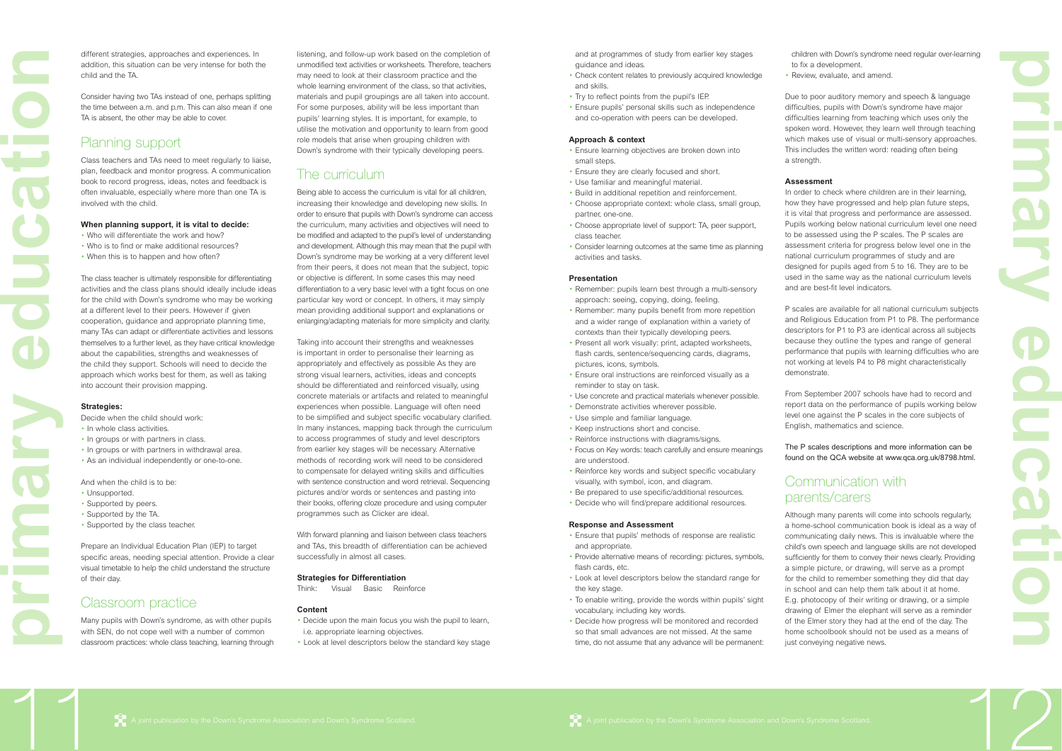and at programmes of study from earlier key stages guidance and ideas.

- Check content relates to previously acquired knowledge and skills.
- Try to reflect points from the pupil's IEP.
- Ensure pupils' personal skills such as independence and co-operation with peers can be developed.

#### **Approach & context**

- Ensure learning objectives are broken down into small steps.
- Ensure they are clearly focused and short.
- Use familiar and meaningful material.
- Build in additional repetition and reinforcement. • Choose appropriate context: whole class, small group, partner, one-one.
- Choose appropriate level of support: TA, peer support, class teacher.
- Consider learning outcomes at the same time as planning activities and tasks.

#### **Presentation**

- Remember: pupils learn best through a multi-sensory approach: seeing, copying, doing, feeling.
- Remember: many pupils benefit from more repetition and a wider range of explanation within a variety of contexts than their typically developing peers.
- Present all work visually: print, adapted worksheets, flash cards, sentence/sequencing cards, diagrams, pictures, icons, symbols.
- Ensure oral instructions are reinforced visually as a reminder to stay on task.
- Use concrete and practical materials whenever possible.
- Demonstrate activities wherever possible.
- Use simple and familiar language.
- Keep instructions short and concise.
- Reinforce instructions with diagrams/signs.
- Focus on Key words: teach carefully and ensure meanings are understood.
- Reinforce key words and subject specific vocabulary visually, with symbol, icon, and diagram.
- Be prepared to use specific/additional resources.
- Decide who will find/prepare additional resources.

In order to check where children are in their learning, how they have progressed and help plan future steps, it is vital that progress and performance are assessed. Pupils working below national curriculum level one need to be assessed using the P scales. The P scales are assessment criteria for progress below level one in the national curriculum programmes of study and are designed for pupils aged from 5 to 16. They are to be used in the same way as the national curriculum levels and are best-fit level indicators.

#### **Response and Assessment**

Although many parents will come into schools regularly, a home-school communication book is ideal as a way of communicating daily news. This is invaluable where the child's own speech and language skills are not developed sufficiently for them to convey their news clearly. Providing a simple picture, or drawing, will serve as a prompt for the child to remember something they did that day in school and can help them talk about it at home. E.g. photocopy of their writing or drawing, or a simple drawing of Elmer the elephant will serve as a reminder of the Elmer story they had at the end of the day. The home schoolbook should not be used as a means of just conveying negative news.

- Ensure that pupils' methods of response are realistic and appropriate.
- Provide alternative means of recording: pictures, symbols, flash cards, etc.
- Look at level descriptors below the standard range for the key stage.
- To enable writing, provide the words within pupils' sight vocabulary, including key words.
- Decide how progress will be monitored and recorded so that small advances are not missed. At the same time, do not assume that any advance will be permanent:

children with Down's syndrome need regular over-learning to fix a development.

• Review, evaluate, and amend.

Due to poor auditory memory and speech & language difficulties, pupils with Down's syndrome have major difficulties learning from teaching which uses only the spoken word. However, they learn well through teaching which makes use of visual or multi-sensory approaches. This includes the written word: reading often being a strength.

#### **Assessment**

Many pupils with Down's syndrome, as with other pupils with SEN, do not cope well with a number of common classroom practices: whole class teaching, learning through Many pupils with Down's syndrome, as with other pupils **Content Content Content Propriate** Learning objectives.<br>
with SEN, do not cope well with a number of common i.e. appropriate learning objectives.<br>
classroom practices P scales are available for all national curriculum subjects and Religious Education from P1 to P8. The performance descriptors for P1 to P3 are identical across all subjects because they outline the types and range of general performance that pupils with learning difficulties who are not working at levels P4 to P8 might characteristically demonstrate.

From September 2007 schools have had to record and report data on the performance of pupils working below level one against the P scales in the core subjects of English, mathematics and science.

The P scales descriptions and more information can be found on the QCA website at www.qca.org.uk/8798.html.

### Communication with parents/carers

**p r i a ry e d u c a t ion**

11

different strategies, approaches and experiences. In addition, this situation can be very intense for both the child and the TA.

Consider having two TAs instead of one, perhaps splitting the time between a.m. and p.m. This can also mean if one TA is absent, the other may be able to cover.

### Planning support

Class teachers and TAs need to meet regularly to liaise, plan, feedback and monitor progress. A communication book to record progress, ideas, notes and feedback is often invaluable, especially where more than one TA is involved with the child.

#### **When planning support, it is vital to decide:**

- Who will differentiate the work and how?
- Who is to find or make additional resources?
- When this is to happen and how often?

The class teacher is ultimately responsible for differentiating activities and the class plans should ideally include ideas for the child with Down's syndrome who may be working at a different level to their peers. However if given cooperation, guidance and appropriate planning time, many TAs can adapt or differentiate activities and lessons themselves to a further level, as they have critical knowledge about the capabilities, strengths and weaknesses of the child they support. Schools will need to decide the approach which works best for them, as well as taking into account their provision mapping.

#### **Strategies:**

Decide when the child should work:

- In whole class activities.
- In groups or with partners in class.
- In groups or with partners in withdrawal area.
- As an individual independently or one-to-one.

And when the child is to be:

- Unsupported.
- Supported by peers.
- Supported by the TA.
- Supported by the class teacher.

Prepare an Individual Education Plan (IEP) to target specific areas, needing special attention. Provide a clear visual timetable to help the child understand the structure of their day.

### Classroom practice

listening, and follow-up work based on the completion of unmodified text activities or worksheets. Therefore, teachers may need to look at their classroom practice and the whole learning environment of the class, so that activities, materials and pupil groupings are all taken into account. For some purposes, ability will be less important than pupils' learning styles. It is important, for example, to utilise the motivation and opportunity to learn from good role models that arise when grouping children with Down's syndrome with their typically developing peers.

# The curriculum

Being able to access the curriculum is vital for all children, increasing their knowledge and developing new skills. In order to ensure that pupils with Down's syndrome can access the curriculum, many activities and objectives will need to be modified and adapted to the pupil's level of understanding and development. Although this may mean that the pupil with Down's syndrome may be working at a very different level from their peers, it does not mean that the subject, topic or objective is different. In some cases this may need differentiation to a very basic level with a tight focus on one particular key word or concept. In others, it may simply mean providing additional support and explanations or enlarging/adapting materials for more simplicity and clarity.

Taking into account their strengths and weaknesses is important in order to personalise their learning as appropriately and effectively as possible As they are strong visual learners, activities, ideas and concepts should be differentiated and reinforced visually, using concrete materials or artifacts and related to meaningful experiences when possible. Language will often need to be simplified and subject specific vocabulary clarified. In many instances, mapping back through the curriculum to access programmes of study and level descriptors from earlier key stages will be necessary. Alternative methods of recording work will need to be considered to compensate for delayed writing skills and difficulties with sentence construction and word retrieval. Sequencing pictures and/or words or sentences and pasting into their books, offering cloze procedure and using computer programmes such as Clicker are ideal.

With forward planning and liaison between class teachers and TAs, this breadth of differentiation can be achieved successfully in almost all cases.

#### **Strategies for Differentiation**

Think: Visual Basic Reinforce

#### **Content**

- Decide upon the main focus you wish the pupil to learn,
- Look at level descriptors below the standard key stage